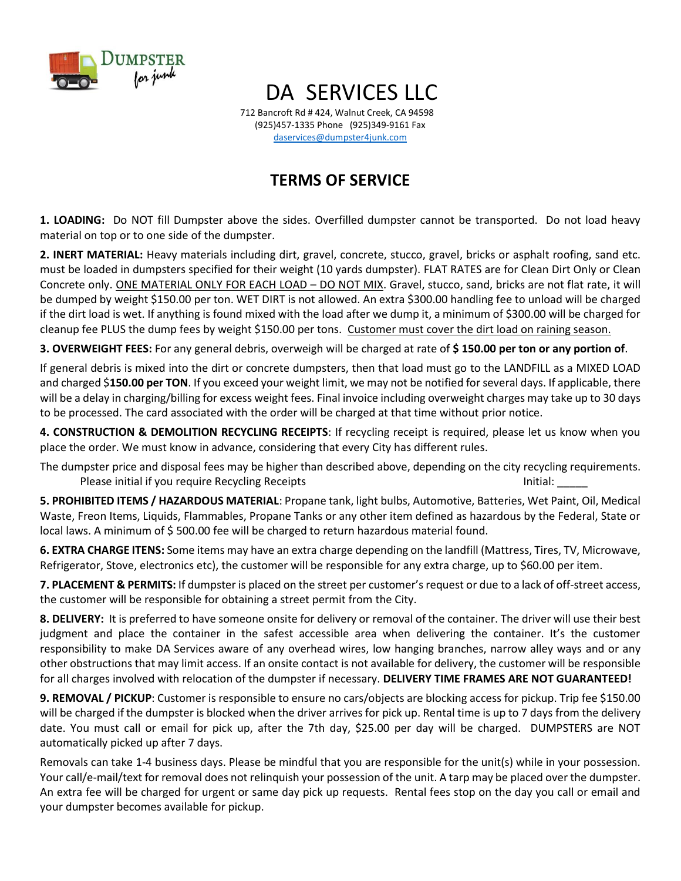

## DA SERVICES LLC

712 Bancroft Rd # 424, Walnut Creek, CA 94598 (925)457-1335 Phone (925)349-9161 Fax [daservices@dumpster4junk.com](mailto:daservices@dumpster4junk.com)

## **TERMS OF SERVICE**

**1. LOADING:** Do NOT fill Dumpster above the sides. Overfilled dumpster cannot be transported. Do not load heavy material on top or to one side of the dumpster.

**2. INERT MATERIAL:** Heavy materials including dirt, gravel, concrete, stucco, gravel, bricks or asphalt roofing, sand etc. must be loaded in dumpsters specified for their weight (10 yards dumpster). FLAT RATES are for Clean Dirt Only or Clean Concrete only. ONE MATERIAL ONLY FOR EACH LOAD – DO NOT MIX. Gravel, stucco, sand, bricks are not flat rate, it will be dumped by weight \$150.00 per ton. WET DIRT is not allowed. An extra \$300.00 handling fee to unload will be charged if the dirt load is wet. If anything is found mixed with the load after we dump it, a minimum of \$300.00 will be charged for cleanup fee PLUS the dump fees by weight \$150.00 per tons. Customer must cover the dirt load on raining season.

**3. OVERWEIGHT FEES:** For any general debris, overweigh will be charged at rate of **\$ 150.00 per ton or any portion of**.

If general debris is mixed into the dirt or concrete dumpsters, then that load must go to the LANDFILL as a MIXED LOAD and charged \$**150.00 per TON**. If you exceed your weight limit, we may not be notified for several days. If applicable, there will be a delay in charging/billing for excess weight fees. Final invoice including overweight charges may take up to 30 days to be processed. The card associated with the order will be charged at that time without prior notice.

**4. CONSTRUCTION & DEMOLITION RECYCLING RECEIPTS**: If recycling receipt is required, please let us know when you place the order. We must know in advance, considering that every City has different rules.

The dumpster price and disposal fees may be higher than described above, depending on the city recycling requirements. Please initial if you require Recycling Receipts **Initial:** Initial:

**5. PROHIBITED ITEMS / HAZARDOUS MATERIAL**: Propane tank, light bulbs, Automotive, Batteries, Wet Paint, Oil, Medical Waste, Freon Items, Liquids, Flammables, Propane Tanks or any other item defined as hazardous by the Federal, State or local laws. A minimum of \$ 500.00 fee will be charged to return hazardous material found.

**6. EXTRA CHARGE ITENS:** Some items may have an extra charge depending on the landfill (Mattress, Tires, TV, Microwave, Refrigerator, Stove, electronics etc), the customer will be responsible for any extra charge, up to \$60.00 per item.

**7. PLACEMENT & PERMITS:** If dumpster is placed on the street per customer's request or due to a lack of off-street access, the customer will be responsible for obtaining a street permit from the City.

**8. DELIVERY:** It is preferred to have someone onsite for delivery or removal of the container. The driver will use their best judgment and place the container in the safest accessible area when delivering the container. It's the customer responsibility to make DA Services aware of any overhead wires, low hanging branches, narrow alley ways and or any other obstructions that may limit access. If an onsite contact is not available for delivery, the customer will be responsible for all charges involved with relocation of the dumpster if necessary. **DELIVERY TIME FRAMES ARE NOT GUARANTEED!**

**9. REMOVAL / PICKUP**: Customer is responsible to ensure no cars/objects are blocking access for pickup. Trip fee \$150.00 will be charged if the dumpster is blocked when the driver arrives for pick up. Rental time is up to 7 days from the delivery date. You must call or email for pick up, after the 7th day, \$25.00 per day will be charged. DUMPSTERS are NOT automatically picked up after 7 days.

Removals can take 1-4 business days. Please be mindful that you are responsible for the unit(s) while in your possession. Your call/e-mail/text for removal does not relinquish your possession of the unit. A tarp may be placed over the dumpster. An extra fee will be charged for urgent or same day pick up requests. Rental fees stop on the day you call or email and your dumpster becomes available for pickup.